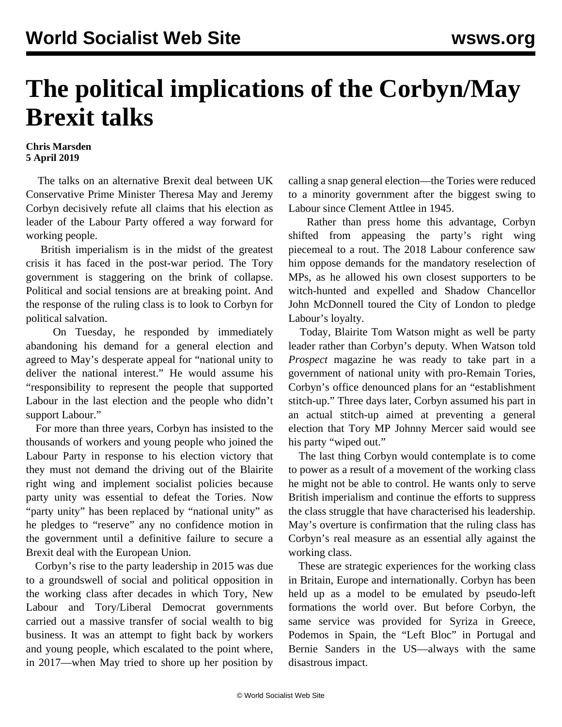## **The political implications of the Corbyn/May Brexit talks**

## **Chris Marsden 5 April 2019**

 The talks on an alternative Brexit deal between UK Conservative Prime Minister Theresa May and Jeremy Corbyn decisively refute all claims that his election as leader of the Labour Party offered a way forward for working people.

 British imperialism is in the midst of the greatest crisis it has faced in the post-war period. The Tory government is staggering on the brink of collapse. Political and social tensions are at breaking point. And the response of the ruling class is to look to Corbyn for political salvation.

 On Tuesday, he responded by immediately abandoning his demand for a general election and agreed to May's desperate appeal for "national unity to deliver the national interest." He would assume his "responsibility to represent the people that supported Labour in the last election and the people who didn't support Labour."

 For more than three years, Corbyn has insisted to the thousands of workers and young people who joined the Labour Party in response to his election victory that they must not demand the driving out of the Blairite right wing and implement socialist policies because party unity was essential to defeat the Tories. Now "party unity" has been replaced by "national unity" as he pledges to "reserve" any no confidence motion in the government until a definitive failure to secure a Brexit deal with the European Union.

 Corbyn's rise to the party leadership in 2015 was due to a groundswell of social and political opposition in the working class after decades in which Tory, New Labour and Tory/Liberal Democrat governments carried out a massive transfer of social wealth to big business. It was an attempt to fight back by workers and young people, which escalated to the point where, in 2017—when May tried to shore up her position by

calling a snap general election—the Tories were reduced to a minority government after the biggest swing to Labour since Clement Attlee in 1945.

 Rather than press home this advantage, Corbyn shifted from appeasing the party's right wing piecemeal to a rout. The 2018 Labour conference saw him oppose demands for the mandatory reselection of MPs, as he allowed his own closest supporters to be witch-hunted and expelled and Shadow Chancellor John McDonnell toured the City of London to pledge Labour's loyalty.

 Today, Blairite Tom Watson might as well be party leader rather than Corbyn's deputy. When Watson told *Prospect* magazine he was ready to take part in a government of national unity with pro-Remain Tories, Corbyn's office denounced plans for an "establishment stitch-up." Three days later, Corbyn assumed his part in an actual stitch-up aimed at preventing a general election that Tory MP Johnny Mercer said would see his party "wiped out."

 The last thing Corbyn would contemplate is to come to power as a result of a movement of the working class he might not be able to control. He wants only to serve British imperialism and continue the efforts to suppress the class struggle that have characterised his leadership. May's overture is confirmation that the ruling class has Corbyn's real measure as an essential ally against the working class.

 These are strategic experiences for the working class in Britain, Europe and internationally. Corbyn has been held up as a model to be emulated by pseudo-left formations the world over. But before Corbyn, the same service was provided for Syriza in Greece, Podemos in Spain, the "Left Bloc" in Portugal and Bernie Sanders in the US—always with the same disastrous impact.